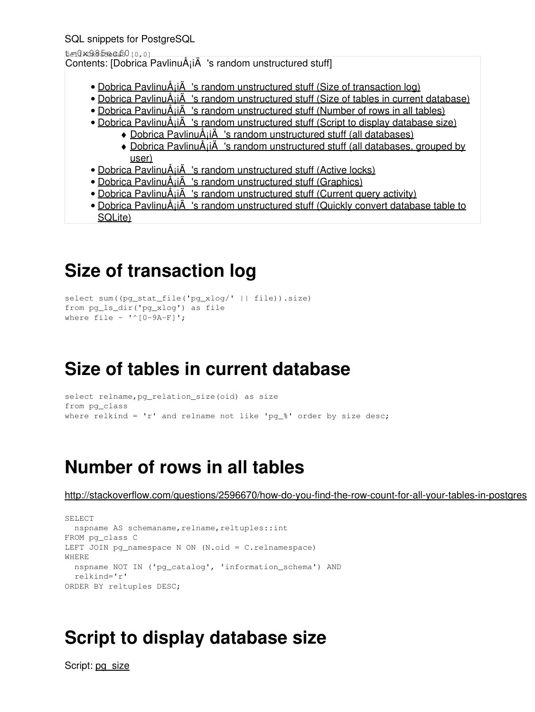SQL snippets for PostgreSQL

t=0x085ecf80 [0,0]

Contents: [Dobrica PavlinuÅ<sub>j</sub>iÄ 's random unstructured stuff]

- Dobrica PavlinuÅ<sub>i</sub>jÄ 's random unstructured stuff (Size of transaction log)
- Dobrica PavlinuÅ<sub>i</sub>jÄ 's random unstructured stuff (Size of tables in current database)
- Dobrica PavlinuÅ¡iÄ 's random unstructured stuff (Number of rows in all tables)
- Dobrica PavlinuÅ<sub>i</sub>jÄ 's random unstructured stuff (Script to display database size)
	- $\bullet$  Dobrica PavlinuÅ<sub>i</sub>iÄ 's random unstructured stuff (all databases)
	- Dobrica PavlinuA<sub>i</sub>iA 's random unstructured stuff (all databases, grouped by [user\)](https://saturn.ffzg.hr/rot13/index.cgi?dobrica_pavlinu%C5%A1i%C4%87_s_random_unstructured_stuff#all_databases_grouped_by_user)
- Dobrica PavlinuÅ<sub>i</sub>jÄ 's random unstructured stuff (Active locks)
- Dobrica PavlinuÅ<sub>i</sub>iÄ 's random unstructured stuff (Graphics)
- Dobrica PavlinuÅ<sub>i</sub>iÄ's random unstructured stuff (Current query activity)
- Dobrica PavlinuA<sub>i</sub>iA 's random unstructured stuff (Quickly convert database table to [SQLite\)](https://saturn.ffzg.hr/rot13/index.cgi?dobrica_pavlinu%C5%A1i%C4%87_s_random_unstructured_stuff#quickly_convert_database_table_to_sqlite)

# **Size of transaction log**

```
select sum((pg_stat_file('pg_xlog/' || file)).size)
from pg_ls_dir('pg_xlog') as file
where file \sim '^[0-9A-F]';
```
## **Size of tables in current database**

```
select relname,pg_relation_size(oid) as size
from pg_class
where relkind = 'r' and relname not like 'pq_%' order by size desc;
```
# **Number of rows in all tables**

<http://stackoverflow.com/questions/2596670/how-do-you-find-the-row-count-for-all-your-tables-in-postgres>

```
SELECT
 nspname AS schemaname, relname, reltuples::int
FROM pg_class C
LEFT JOIN pg_namespace N ON (N.oid = C.relnamespace)
WHERE
  nspname NOT IN ('pg_catalog', 'information_schema') AND
  relkind='r' 
ORDER BY reltuples DESC;
```
## **Script to display database size**

Script: [pg\\_size](https://saturn.ffzg.hr/rot13/index.cgi/pg_size?action=attachments_download;page_name=postgresql;id=20071005123933-0-17773)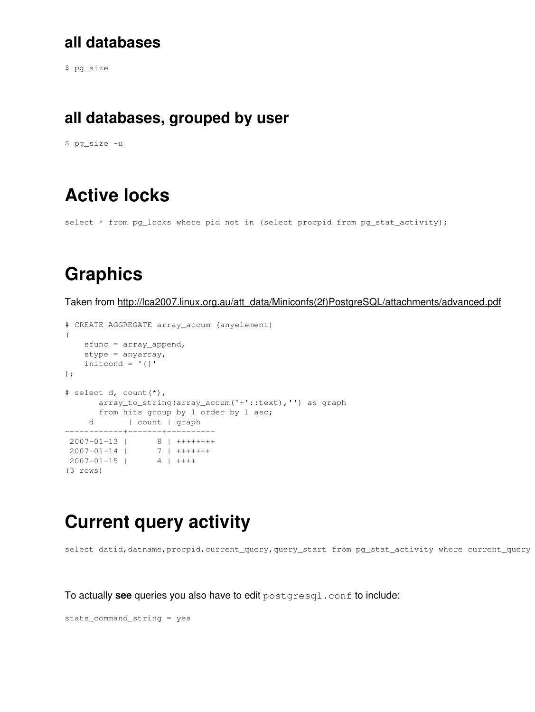### **all databases**

\$ pg\_size

#### **all databases, grouped by user**

\$ pg\_size -u

## **Active locks**

select \* from pg\_locks where pid not in (select procpid from pg\_stat\_activity);

## **Graphics**

Taken from [http://lca2007.linux.org.au/att\\_data/Miniconfs\(2f\)PostgreSQL/attachments/advanced.pdf](http://lca2007.linux.org.au/att_data/Miniconfs(2f)PostgreSQL/attachments/advanced.pdf)

```
# CREATE AGGREGATE array_accum (anyelement)
\left( sfunc = array_append,
    stype = anyarray,
    initcond = '{}');
# select d, count(*),
        array_to_string(array_accum('+'::text),'') as graph
        from hits group by 1 order by 1 asc;
     d | count | graph
------------+-------+----------
 2007-01-13 | 8 | +++++++++<br>2007.01.14 | 2007-01-14 2007-01-14 | 7 | +++++++
 2007-01-15 | 4 | ++++
(3 rows)
```
### **Current query activity**

select datid, datname, procpid, current\_query, query\_start from pg\_stat\_activity where current\_query

To actually **see** queries you also have to edit postgresql.conf to include:

```
stats_command_string = yes
```